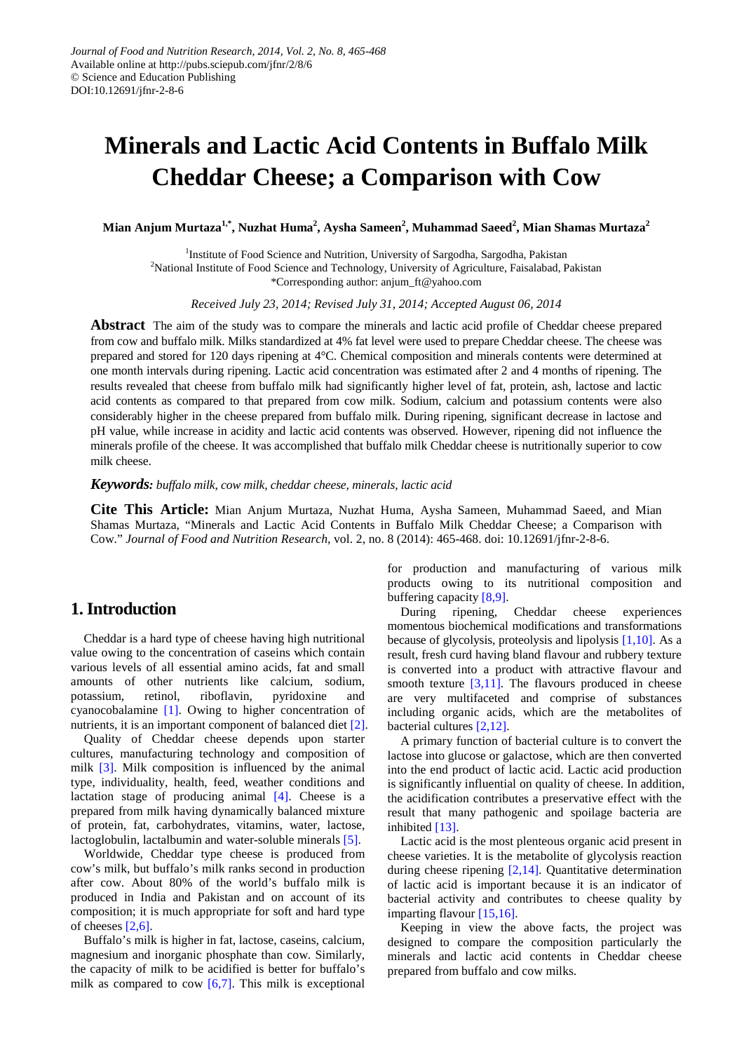# **Minerals and Lactic Acid Contents in Buffalo Milk Cheddar Cheese; a Comparison with Cow**

**Mian Anjum Murtaza1,\*, Nuzhat Huma<sup>2</sup> , Aysha Sameen2 , Muhammad Saeed2 , Mian Shamas Murtaza<sup>2</sup>**

<sup>1</sup>Institute of Food Science and Nutrition, University of Sargodha, Sargodha, Pakistan <sup>2</sup>National Institute of Food Science and Technology, University of Agriculture, Faisalabad, Pakistan \*Corresponding author: anjum\_ft@yahoo.com

*Received July 23, 2014; Revised July 31, 2014; Accepted August 06, 2014*

**Abstract** The aim of the study was to compare the minerals and lactic acid profile of Cheddar cheese prepared from cow and buffalo milk. Milks standardized at 4% fat level were used to prepare Cheddar cheese. The cheese was prepared and stored for 120 days ripening at 4°C. Chemical composition and minerals contents were determined at one month intervals during ripening. Lactic acid concentration was estimated after 2 and 4 months of ripening. The results revealed that cheese from buffalo milk had significantly higher level of fat, protein, ash, lactose and lactic acid contents as compared to that prepared from cow milk. Sodium, calcium and potassium contents were also considerably higher in the cheese prepared from buffalo milk. During ripening, significant decrease in lactose and pH value, while increase in acidity and lactic acid contents was observed. However, ripening did not influence the minerals profile of the cheese. It was accomplished that buffalo milk Cheddar cheese is nutritionally superior to cow milk cheese.

*Keywords: buffalo milk, cow milk, cheddar cheese, minerals, lactic acid*

**Cite This Article:** Mian Anjum Murtaza, Nuzhat Huma, Aysha Sameen, Muhammad Saeed, and Mian Shamas Murtaza, "Minerals and Lactic Acid Contents in Buffalo Milk Cheddar Cheese; a Comparison with Cow." *Journal of Food and Nutrition Research*, vol. 2, no. 8 (2014): 465-468. doi: 10.12691/jfnr-2-8-6.

# **1. Introduction**

Cheddar is a hard type of cheese having high nutritional value owing to the concentration of caseins which contain various levels of all essential amino acids, fat and small amounts of other nutrients like calcium, sodium, potassium, retinol, riboflavin, pyridoxine and cyanocobalamine [\[1\].](#page-2-0) Owing to higher concentration of nutrients, it is an important component of balanced diet [\[2\].](#page-2-1)

Quality of Cheddar cheese depends upon starter cultures, manufacturing technology and composition of milk [\[3\].](#page-2-2) Milk composition is influenced by the animal type, individuality, health, feed, weather conditions and lactation stage of producing animal  $[4]$ . Cheese is a prepared from milk having dynamically balanced mixture of protein, fat, carbohydrates, vitamins, water, lactose, lactoglobulin, lactalbumin and water-soluble minerals [\[5\].](#page-2-4)

Worldwide, Cheddar type cheese is produced from cow's milk, but buffalo's milk ranks second in production after cow. About 80% of the world's buffalo milk is produced in India and Pakistan and on account of its composition; it is much appropriate for soft and hard type of cheeses [\[2,6\].](#page-2-1)

Buffalo's milk is higher in fat, lactose, caseins, calcium, magnesium and inorganic phosphate than cow. Similarly, the capacity of milk to be acidified is better for buffalo's milk as compared to cow  $[6,7]$ . This milk is exceptional for production and manufacturing of various milk products owing to its nutritional composition and buffering capacity  $[8,9]$ .<br>During ripening,

Cheddar cheese experiences momentous biochemical modifications and transformations because of glycolysis, proteolysis and lipolysis [\[1,10\].](#page-2-0) As a result, fresh curd having bland flavour and rubbery texture is converted into a product with attractive flavour and smooth texture  $[3,11]$ . The flavours produced in cheese are very multifaceted and comprise of substances including organic acids, which are the metabolites of bacterial cultures [\[2,12\].](#page-2-1) 

A primary function of bacterial culture is to convert the lactose into glucose or galactose, which are then converted into the end product of lactic acid. Lactic acid production is significantly influential on quality of cheese. In addition, the acidification contributes a preservative effect with the result that many pathogenic and spoilage bacteria are inhibited [\[13\].](#page-3-0)

Lactic acid is the most plenteous organic acid present in cheese varieties. It is the metabolite of glycolysis reaction during cheese ripening [\[2,14\].](#page-2-1) Quantitative determination of lactic acid is important because it is an indicator of bacterial activity and contributes to cheese quality by imparting flavour [\[15,16\].](#page-3-1)

Keeping in view the above facts, the project was designed to compare the composition particularly the minerals and lactic acid contents in Cheddar cheese prepared from buffalo and cow milks.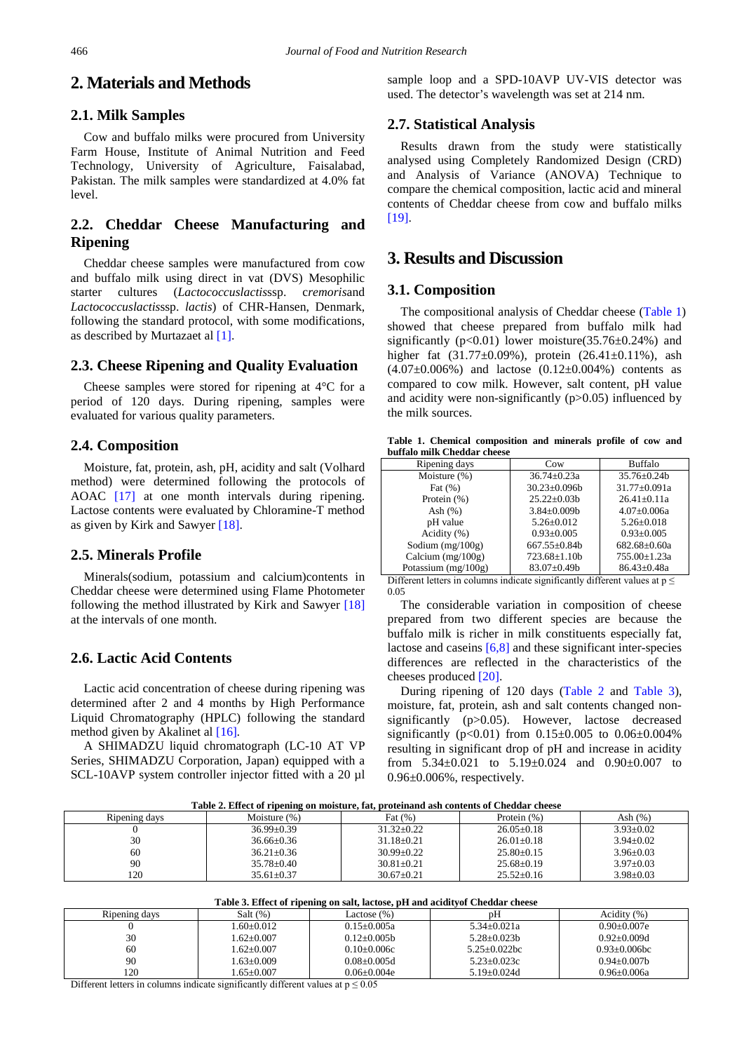# **2. Materials and Methods**

## **2.1. Milk Samples**

Cow and buffalo milks were procured from University Farm House, Institute of Animal Nutrition and Feed Technology, University of Agriculture, Faisalabad, Pakistan. The milk samples were standardized at 4.0% fat level.

## **2.2. Cheddar Cheese Manufacturing and Ripening**

Cheddar cheese samples were manufactured from cow and buffalo milk using direct in vat (DVS) Mesophilic starter cultures (*Lactococcuslactis*ssp. c*remoris*and *Lactococcuslactis*ssp. *lactis*) of CHR-Hansen, Denmark, following the standard protocol, with some modifications, as described by Murtazaet al [\[1\].](#page-2-0)

#### **2.3. Cheese Ripening and Quality Evaluation**

Cheese samples were stored for ripening at 4°C for a period of 120 days. During ripening, samples were evaluated for various quality parameters.

### **2.4. Composition**

Moisture, fat, protein, ash, pH, acidity and salt (Volhard method) were determined following the protocols of AOAC [\[17\]](#page-3-2) at one month intervals during ripening. Lactose contents were evaluated by Chloramine-T method as given by Kirk and Sawyer [\[18\].](#page-3-3)

## **2.5. Minerals Profile**

Minerals(sodium, potassium and calcium)contents in Cheddar cheese were determined using Flame Photometer following the method illustrated by Kirk and Sawyer [\[18\]](#page-3-3) at the intervals of one month.

#### **2.6. Lactic Acid Contents**

Lactic acid concentration of cheese during ripening was determined after 2 and 4 months by High Performance Liquid Chromatography (HPLC) following the standard method given by Akalinet al [\[16\]](#page-3-4)*.*

A SHIMADZU liquid chromatograph (LC-10 AT VP Series, SHIMADZU Corporation, Japan) equipped with a SCL-10AVP system controller injector fitted with a 20 µl sample loop and a SPD-10AVP UV-VIS detector was used. The detector's wavelength was set at 214 nm.

#### **2.7. Statistical Analysis**

Results drawn from the study were statistically analysed using Completely Randomized Design (CRD) and Analysis of Variance (ANOVA) Technique to compare the chemical composition, lactic acid and mineral contents of Cheddar cheese from cow and buffalo milks [\[19\].](#page-3-5)

# **3. Results and Discussion**

#### **3.1. Composition**

The compositional analysis of Cheddar cheese [\(Table 1\)](#page-1-0) showed that cheese prepared from buffalo milk had significantly ( $p<0.01$ ) lower moisture( $35.76\pm0.24\%$ ) and higher fat (31.77±0.09%), protein (26.41±0.11%), ash  $(4.07\pm0.006\%)$  and lactose  $(0.12\pm0.004\%)$  contents as compared to cow milk. However, salt content, pH value and acidity were non-significantly  $(p>0.05)$  influenced by the milk sources.

**Table 1. Chemical composition and minerals profile of cow and buffalo milk Cheddar cheese**

<span id="page-1-0"></span>

| Ripening days       | Cow                 | <b>Buffalo</b>     |
|---------------------|---------------------|--------------------|
| Moisture (%)        | $36.74 + 0.23a$     | $35.76 + 0.24h$    |
| Fat $(\%)$          | $30.23 \pm 0.096$   | 31.77±0.091a       |
| Protein $(\% )$     | $25.22+0.03h$       | $26.41 + 0.11a$    |
| Ash $(\%)$          | $3.84 \pm 0.009$    | $4.07 \pm 0.006a$  |
| pH value            | $5.26 + 0.012$      | $5.26 + 0.018$     |
| Acidity (%)         | $0.93 + 0.005$      | $0.93+0.005$       |
| Sodium $(mg/100g)$  | $667.55 \pm 0.84$ b | $682.68 \pm 0.60a$ |
| Calcium $(mg/100g)$ | $723.68 \pm 1.10b$  | 755.00±1.23a       |
| Potassium (mg/100g) | $83.07 \pm 0.49$    | $86.43 \pm 0.48a$  |

Different letters in columns indicate significantly different values at  $p \leq$ 0.05

The considerable variation in composition of cheese prepared from two different species are because the buffalo milk is richer in milk constituents especially fat, lactose and caseins [\[6,8\]](#page-2-5) and these significant inter-species differences are reflected in the characteristics of the cheeses produced [\[20\].](#page-3-6)

During ripening of 120 days [\(Table 2](#page-1-1) and [Table 3\)](#page-1-2), moisture, fat, protein, ash and salt contents changed nonsignificantly (p>0.05). However, lactose decreased significantly ( $p < 0.01$ ) from  $0.15 \pm 0.005$  to  $0.06 \pm 0.004\%$ resulting in significant drop of pH and increase in acidity from 5.34±0.021 to 5.19±0.024 and 0.90±0.007 to 0.96±0.006%, respectively.

**Table** 2. Effect of ripening on moisture, fat, proteinand ash contents of Cheddar ch

<span id="page-1-1"></span>

| Table 2. Effect of Tipelling on Inoisture, fat, proteinant ash contents of Chettuar encest |                  |                  |                  |                 |  |
|--------------------------------------------------------------------------------------------|------------------|------------------|------------------|-----------------|--|
| Ripening days                                                                              | Moisture $(\%)$  | Fat (%)          | Protein $(\%)$   | Ash $(\%)$      |  |
|                                                                                            | $36.99 + 0.39$   | $31.32 + 0.22$   | $26.05+0.18$     | $3.93+0.02$     |  |
| 30                                                                                         | $36.66 \pm 0.36$ | $31.18 + 0.21$   | $26.01 + 0.18$   | $3.94 + 0.02$   |  |
| 60                                                                                         | $36.21 \pm 0.36$ | $30.99 \pm 0.22$ | $25.80 \pm 0.15$ | $3.96 + 0.03$   |  |
| 90                                                                                         | $35.78 \pm 0.40$ | $30.81 + 0.21$   | $25.68 \pm 0.19$ | $3.97 \pm 0.03$ |  |
| 120                                                                                        | $35.61 + 0.37$   | $30.67+0.21$     | $25.52+0.16$     | $3.98 \pm 0.03$ |  |

**Table 3. Effect of ripening on salt, lactose, pH and acidityof Cheddar cheese**

<span id="page-1-2"></span>

| Ripening days | Salt $(\%)$    | Lactose (%)      | рH                | Acidity (%)      |  |  |
|---------------|----------------|------------------|-------------------|------------------|--|--|
|               | $.60+0.012$    | $0.15 + 0.005a$  | $5.34 \pm 0.021a$ | $0.90 + 0.007e$  |  |  |
| 30            | $1.62 + 0.007$ | $0.12 + 0.005$ b | $5.28 + 0.023h$   | $0.92 + 0.009d$  |  |  |
| 60            | $-62+0.007$    | $0.10+0.006c$    | $5.25+0.022$ bc   | $0.93+0.006$ bc  |  |  |
| 90            | $1.63 + 0.009$ | $0.08 + 0.005d$  | $5.23 \pm 0.023c$ | $0.94 + 0.007$ b |  |  |
| 120           | $.65+0.007$    | $0.06 + 0.004e$  | $5.19 + 0.024d$   | $0.96 + 0.006a$  |  |  |

Different letters in columns indicate significantly different values at  $p \le 0.05$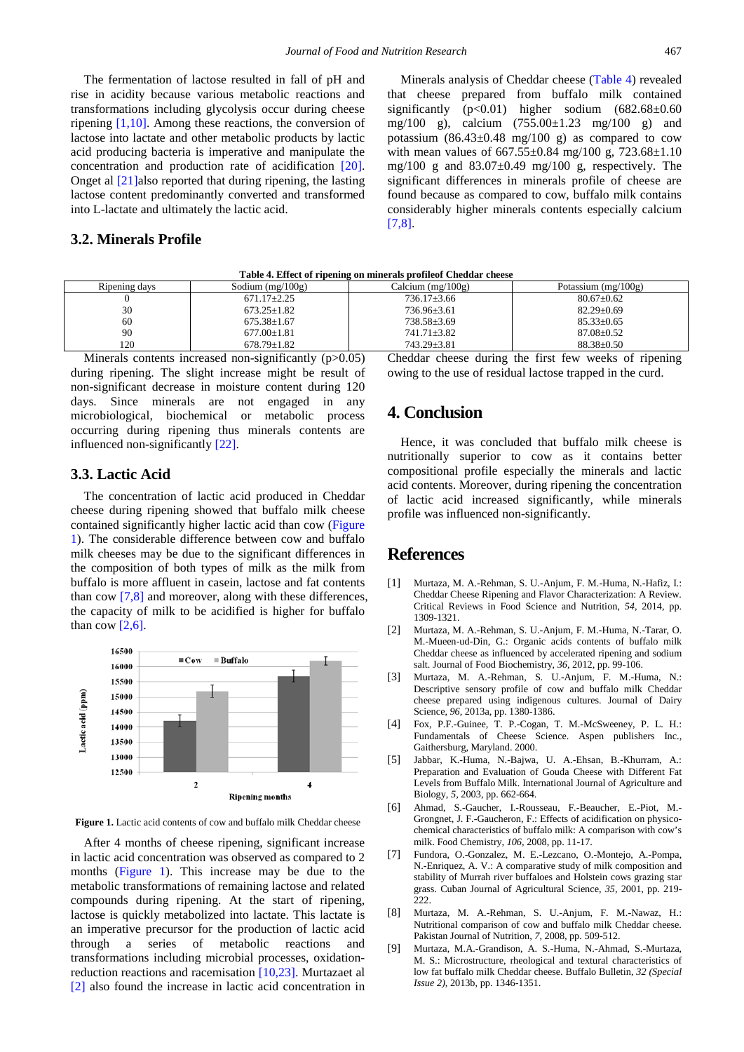The fermentation of lactose resulted in fall of pH and rise in acidity because various metabolic reactions and transformations including glycolysis occur during cheese ripening [\[1,10\].](#page-2-0) Among these reactions, the conversion of lactose into lactate and other metabolic products by lactic acid producing bacteria is imperative and manipulate the concentration and production rate of acidification [\[20\].](#page-3-6) Onget al [\[21\]a](#page-3-7)lso reported that during ripening, the lasting lactose content predominantly converted and transformed into L-lactate and ultimately the lactic acid.

## **3.2. Minerals Profile**

Minerals analysis of Cheddar cheese [\(Table 4\)](#page-2-7) revealed that cheese prepared from buffalo milk contained significantly  $(p<0.01)$  higher sodium  $(682.68\pm0.60)$ mg/100 g), calcium (755.00±1.23 mg/100 g) and potassium  $(86.43\pm0.48 \text{ mg}/100 \text{ g})$  as compared to cow with mean values of  $667.55 \pm 0.84$  mg/100 g,  $723.68 \pm 1.10$ mg/100 g and  $83.07\pm0.49$  mg/100 g, respectively. The significant differences in minerals profile of cheese are found because as compared to cow, buffalo milk contains considerably higher minerals contents especially calcium [\[7,8\].](#page-2-8)

<span id="page-2-7"></span>

| Ripening days | Sodium $(mg/100g)$ | Calcium $(mg/100g)$ | Potassium $(mg/100g)$ |
|---------------|--------------------|---------------------|-----------------------|
|               | $671.17 \pm 2.25$  | $736.17 \pm 3.66$   | $80.67 + 0.62$        |
| 30            | $673.25 \pm 1.82$  | $736.96 \pm 3.61$   | $82.29 \pm 0.69$      |
| 60            | $675.38 \pm 1.67$  | $738.58 \pm 3.69$   | $85.33+0.65$          |
| 90            | $677.00 \pm 1.81$  | $741.71 \pm 3.82$   | $87.08 \pm 0.52$      |
| 120           | $678.79 + 1.82$    | 743.29±3.81         | $88.38 + 0.50$        |

**Table 4. Effect of ripening on minerals profileof Cheddar cheese**

Minerals contents increased non-significantly (p>0.05) during ripening. The slight increase might be result of non-significant decrease in moisture content during 120 days. Since minerals are not engaged in any microbiological, biochemical or metabolic process occurring during ripening thus minerals contents are influenced non-significantly [\[22\].](#page-3-8)

#### **3.3. Lactic Acid**

The concentration of lactic acid produced in Cheddar cheese during ripening showed that buffalo milk cheese contained significantly higher lactic acid than cow [\(Figure](#page-2-9)  [1\)](#page-2-9). The considerable difference between cow and buffalo milk cheeses may be due to the significant differences in the composition of both types of milk as the milk from buffalo is more affluent in casein, lactose and fat contents than cow [\[7,8\]](#page-2-8) and moreover, along with these differences, the capacity of milk to be acidified is higher for buffalo than cow  $[2,6]$ .

<span id="page-2-9"></span>

Figure 1. Lactic acid contents of cow and buffalo milk Cheddar cheese

After 4 months of cheese ripening, significant increase in lactic acid concentration was observed as compared to 2 months [\(Figure 1\)](#page-2-9). This increase may be due to the metabolic transformations of remaining lactose and related compounds during ripening. At the start of ripening, lactose is quickly metabolized into lactate. This lactate is an imperative precursor for the production of lactic acid through a series of metabolic reactions and transformations including microbial processes, oxidationreduction reactions and racemisation [\[10,23\].](#page-3-9) Murtazaet al [\[2\]](#page-2-1) also found the increase in lactic acid concentration in

Cheddar cheese during the first few weeks of ripening owing to the use of residual lactose trapped in the curd.

# **4. Conclusion**

Hence, it was concluded that buffalo milk cheese is nutritionally superior to cow as it contains better compositional profile especially the minerals and lactic acid contents. Moreover, during ripening the concentration of lactic acid increased significantly, while minerals profile was influenced non-significantly.

## **References**

- <span id="page-2-0"></span>[1] Murtaza, M. A.-Rehman, S. U.-Anjum, F. M.-Huma, N.-Hafiz, I.: Cheddar Cheese Ripening and Flavor Characterization: A Review. Critical Reviews in Food Science and Nutrition, *54*, 2014, pp. 1309-1321.
- <span id="page-2-1"></span>[2] Murtaza, M. A.-Rehman, S. U.-Anjum, F. M.-Huma, N.-Tarar, O. M.-Mueen-ud-Din, G.: Organic acids contents of buffalo milk Cheddar cheese as influenced by accelerated ripening and sodium salt. Journal of Food Biochemistry, *36*, 2012, pp. 99-106.
- <span id="page-2-2"></span>[3] Murtaza, M. A.-Rehman, S. U.-Anjum, F. M.-Huma, N.: Descriptive sensory profile of cow and buffalo milk Cheddar cheese prepared using indigenous cultures. Journal of Dairy Science, *96,* 2013a, pp. 1380-1386.
- <span id="page-2-3"></span>[4] Fox, P.F.-Guinee, T. P.-Cogan, T. M.-McSweeney, P. L. H.: Fundamentals of Cheese Science. Aspen publishers Inc., Gaithersburg, Maryland. 2000.
- <span id="page-2-4"></span>[5] Jabbar, K.-Huma, N.-Bajwa, U. A.-Ehsan, B.-Khurram, A.: Preparation and Evaluation of Gouda Cheese with Different Fat Levels from Buffalo Milk. International Journal of Agriculture and Biology, *5,* 2003, pp. 662-664.
- <span id="page-2-5"></span>[6] Ahmad, S.-Gaucher, I.-Rousseau, F.-Beaucher, E.-Piot, M.- Grongnet, J. F.-Gaucheron, F.: Effects of acidification on physicochemical characteristics of buffalo milk: A comparison with cow's milk. Food Chemistry, *106,* 2008, pp. 11-17.
- <span id="page-2-8"></span>[7] Fundora, O.-Gonzalez, M. E.-Lezcano, O.-Montejo, A.-Pompa, N.-Enriquez, A. V.: A comparative study of milk composition and stability of Murrah river buffaloes and Holstein cows grazing star grass. Cuban Journal of Agricultural Science, *35,* 2001, pp. 219- 222.
- <span id="page-2-6"></span>[8] Murtaza, M. A.-Rehman, S. U.-Anjum, F. M.-Nawaz, H.: Nutritional comparison of cow and buffalo milk Cheddar cheese. Pakistan Journal of Nutrition, *7*, 2008, pp. 509-512.
- [9] Murtaza, M.A.-Grandison, A. S.-Huma, N.-Ahmad, S.-Murtaza, M. S.: Microstructure, rheological and textural characteristics of low fat buffalo milk Cheddar cheese. Buffalo Bulletin, *32 (Special Issue 2),* 2013b, pp. 1346-1351.